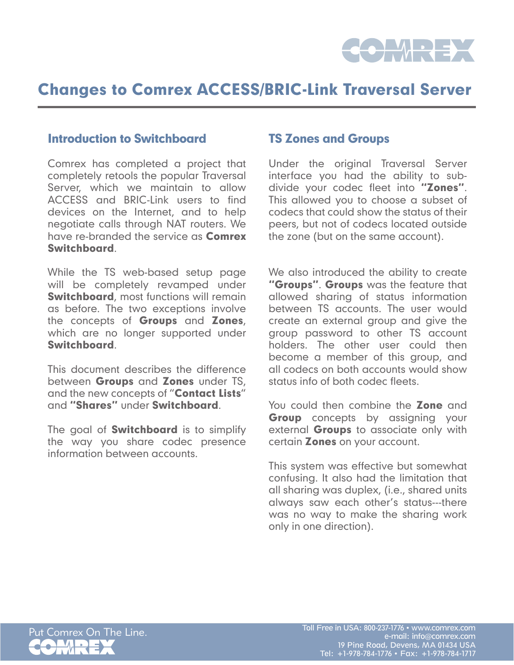

## Changes to Comrex ACCESS/BRIC-Link Traversal Server

#### Introduction to Switchboard

Comrex has completed a project that completely retools the popular Traversal Server, which we maintain to allow ACCESS and BRIC-Link users to find devices on the Internet, and to help negotiate calls through NAT routers. We have re-branded the service as **Comrex** Switchboard.

While the TS web-based setup page will be completely revamped under **Switchboard**, most functions will remain as before. The two exceptions involve the concepts of Groups and Zones, which are no longer supported under Switchboard.

This document describes the difference between **Groups** and **Zones** under TS. and the new concepts of "Contact Lists" and "Shares" under Switchboard.

The goal of **Switchboard** is to simplify the way you share codec presence information between accounts.

#### TS Zones and Groups

Under the original Traversal Server interface you had the ability to subdivide your codec fleet into "Zones". This allowed you to choose a subset of codecs that could show the status of their peers, but not of codecs located outside the zone (but on the same account).

We also introduced the ability to create "Groups". Groups was the feature that allowed sharing of status information between TS accounts. The user would create an external group and give the group password to other TS account holders. The other user could then become a member of this group, and all codecs on both accounts would show status info of both codec fleets.

You could then combine the **Zone** and **Group** concepts by assigning your external Groups to associate only with certain **Zones** on your account.

This system was effective but somewhat confusing. It also had the limitation that all sharing was duplex, (i.e., shared units always saw each other's status---there was no way to make the sharing work only in one direction).

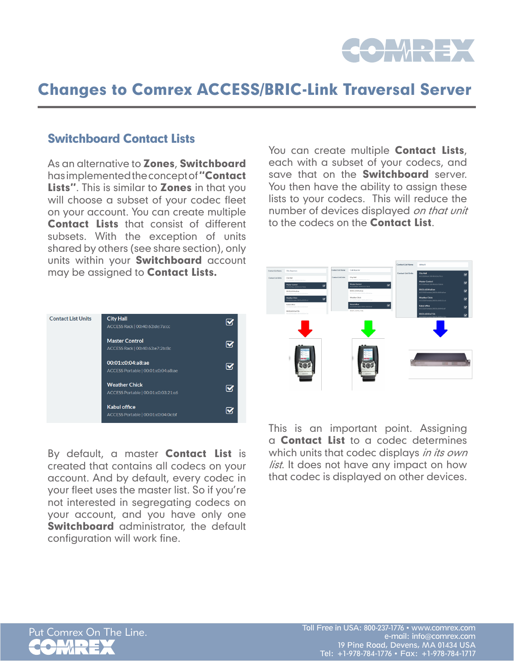

## Changes to Comrex ACCESS/BRIC-Link Traversal Server

### Switchboard Contact Lists

As an alternative to **Zones, Switchboard** has implemented the concept of "Contact Lists". This is similar to **Zones** in that you will choose a subset of your codec fleet on your account. You can create multiple Contact Lists that consist of different subsets. With the exception of units shared by others (see share section), only units within your **Switchboard** account may be assigned to **Contact Lists.** 



By default, a master **Contact List** is created that contains all codecs on your account. And by default, every codec in your fleet uses the master list. So if you're not interested in segregating codecs on your account, and you have only one **Switchboard** administrator, the default configuration will work fine.

You can create multiple **Contact Lists**, each with a subset of your codecs, and save that on the **Switchboard** server. You then have the ability to assign these lists to your codecs. This will reduce the number of devices displayed on that unit to the codecs on the **Contact List**.



This is an important point. Assigning a Contact List to a codec determines which units that codec displays in its own *list*. It does not have any impact on how that codec is displayed on other devices.